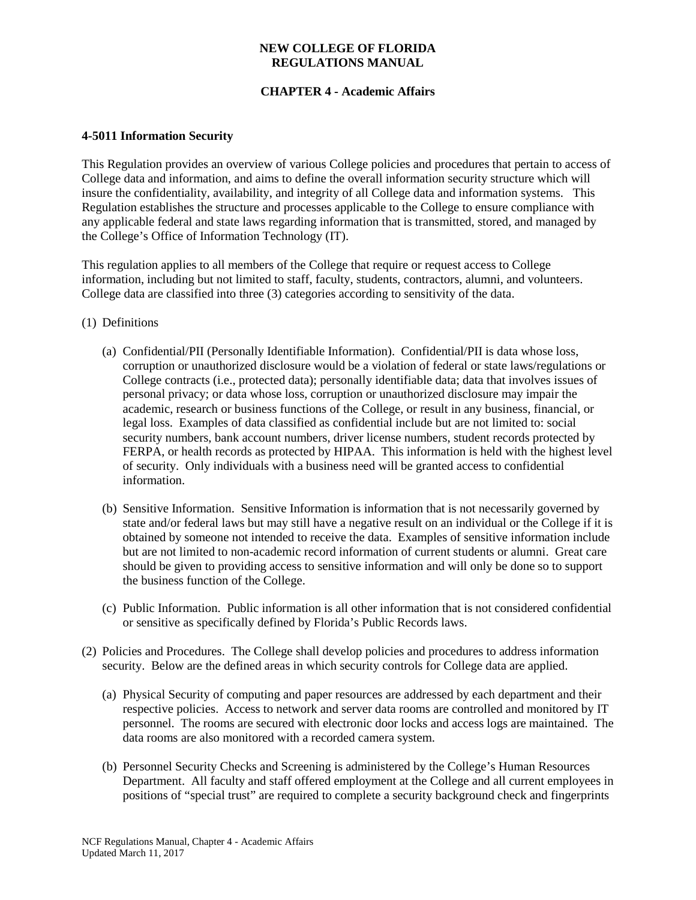## **NEW COLLEGE OF FLORIDA REGULATIONS MANUAL**

# **CHAPTER 4 - Academic Affairs**

## **4-5011 Information Security**

This Regulation provides an overview of various College policies and procedures that pertain to access of College data and information, and aims to define the overall information security structure which will insure the confidentiality, availability, and integrity of all College data and information systems. This Regulation establishes the structure and processes applicable to the College to ensure compliance with any applicable federal and state laws regarding information that is transmitted, stored, and managed by the College's Office of Information Technology (IT).

This regulation applies to all members of the College that require or request access to College information, including but not limited to staff, faculty, students, contractors, alumni, and volunteers. College data are classified into three (3) categories according to sensitivity of the data.

- (1) Definitions
	- (a) Confidential/PII (Personally Identifiable Information). Confidential/PII is data whose loss, corruption or unauthorized disclosure would be a violation of federal or state laws/regulations or College contracts (i.e., protected data); personally identifiable data; data that involves issues of personal privacy; or data whose loss, corruption or unauthorized disclosure may impair the academic, research or business functions of the College, or result in any business, financial, or legal loss. Examples of data classified as confidential include but are not limited to: social security numbers, bank account numbers, driver license numbers, student records protected by FERPA, or health records as protected by HIPAA. This information is held with the highest level of security. Only individuals with a business need will be granted access to confidential information.
	- (b) Sensitive Information. Sensitive Information is information that is not necessarily governed by state and/or federal laws but may still have a negative result on an individual or the College if it is obtained by someone not intended to receive the data. Examples of sensitive information include but are not limited to non-academic record information of current students or alumni. Great care should be given to providing access to sensitive information and will only be done so to support the business function of the College.
	- (c) Public Information. Public information is all other information that is not considered confidential or sensitive as specifically defined by Florida's Public Records laws.
- (2) Policies and Procedures. The College shall develop policies and procedures to address information security. Below are the defined areas in which security controls for College data are applied.
	- (a) Physical Security of computing and paper resources are addressed by each department and their respective policies. Access to network and server data rooms are controlled and monitored by IT personnel. The rooms are secured with electronic door locks and access logs are maintained. The data rooms are also monitored with a recorded camera system.
	- (b) Personnel Security Checks and Screening is administered by the College's Human Resources Department. All faculty and staff offered employment at the College and all current employees in positions of "special trust" are required to complete a security background check and fingerprints